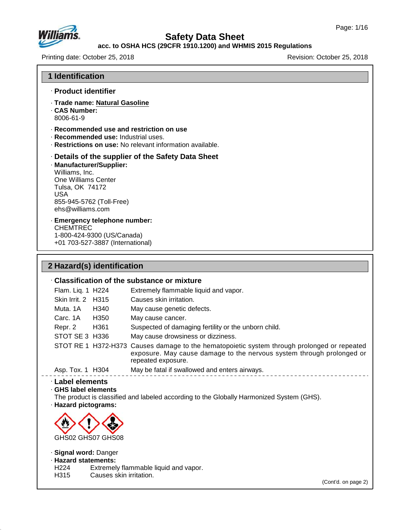

# **Safety Data Sheet**

### **acc. to OSHA HCS (29CFR 1910.1200) and WHMIS 2015 Regulations**

Printing date: October 25, 2018 **Printing date: October 25, 2018** 

| <b>1 Identification</b>                                                                                                                            |                                                                                                                                                                                            |
|----------------------------------------------------------------------------------------------------------------------------------------------------|--------------------------------------------------------------------------------------------------------------------------------------------------------------------------------------------|
| · Product identifier                                                                                                                               |                                                                                                                                                                                            |
| · Trade name: Natural Gasoline<br><b>CAS Number:</b><br>8006-61-9                                                                                  |                                                                                                                                                                                            |
| · Recommended use: Industrial uses.                                                                                                                | · Recommended use and restriction on use<br>· Restrictions on use: No relevant information available.                                                                                      |
| · Manufacturer/Supplier:<br>Williams, Inc.<br>One Williams Center<br>Tulsa, OK 74172<br><b>USA</b><br>855-945-5762 (Toll-Free)<br>ehs@williams.com | Details of the supplier of the Safety Data Sheet                                                                                                                                           |
| · Emergency telephone number:<br><b>CHEMTREC</b><br>1-800-424-9300 (US/Canada)<br>+01 703-527-3887 (International)                                 |                                                                                                                                                                                            |
| 2 Hazard(s) identification                                                                                                                         |                                                                                                                                                                                            |
|                                                                                                                                                    | Classification of the substance or mixture                                                                                                                                                 |
| Flam. Liq. 1 H224                                                                                                                                  | Extremely flammable liquid and vapor.                                                                                                                                                      |
| Skin Irrit. 2 H315                                                                                                                                 | Causes skin irritation.                                                                                                                                                                    |
| Muta. 1A<br>H340                                                                                                                                   | May cause genetic defects.                                                                                                                                                                 |
| Carc. 1A<br>H350                                                                                                                                   | May cause cancer.                                                                                                                                                                          |
| Repr. 2<br>H361                                                                                                                                    | Suspected of damaging fertility or the unborn child.                                                                                                                                       |
| STOT SE 3 H336                                                                                                                                     | May cause drowsiness or dizziness.                                                                                                                                                         |
|                                                                                                                                                    | STOT RE 1 H372-H373 Causes damage to the hematopoietic system through prolonged or repeated<br>exposure. May cause damage to the nervous system through prolonged or<br>repeated exposure. |
|                                                                                                                                                    | Asp. Tox. 1 H304 May be fatal if swallowed and enters airways.                                                                                                                             |
| <b>Label elements</b><br>GHS label elements<br>· Hazard pictograms:<br>GHS02 GHS07 GHS08                                                           | The product is classified and labeled according to the Globally Harmonized System (GHS).                                                                                                   |
| · Signal word: Danger<br>· Hazard statements:                                                                                                      |                                                                                                                                                                                            |
| H <sub>224</sub><br>H315                                                                                                                           | Extremely flammable liquid and vapor.<br>Causes skin irritation.                                                                                                                           |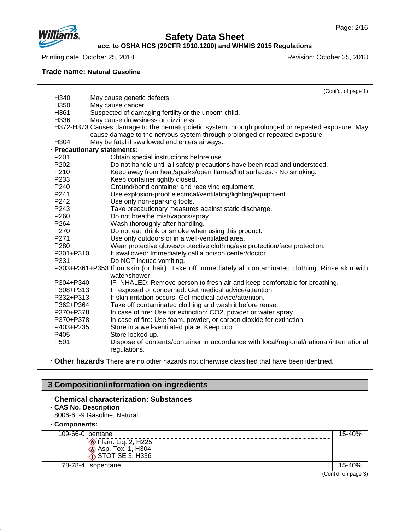#### **acc. to OSHA HCS (29CFR 1910.1200) and WHMIS 2015 Regulations**

Printing date: October 25, 2018 **Printing date: October 25, 2018** 

**Trade name: Natural Gasoline**

|                  | (Cont'd. of page 1)                                                                                                                                                                            |
|------------------|------------------------------------------------------------------------------------------------------------------------------------------------------------------------------------------------|
| H340             | May cause genetic defects.                                                                                                                                                                     |
| H350             | May cause cancer.                                                                                                                                                                              |
| H361             | Suspected of damaging fertility or the unborn child.                                                                                                                                           |
| H336             | May cause drowsiness or dizziness.                                                                                                                                                             |
|                  | H372-H373 Causes damage to the hematopoietic system through prolonged or repeated exposure. May                                                                                                |
|                  | cause damage to the nervous system through prolonged or repeated exposure.                                                                                                                     |
| H304             | May be fatal if swallowed and enters airways.                                                                                                                                                  |
|                  | · Precautionary statements:                                                                                                                                                                    |
| P <sub>201</sub> | Obtain special instructions before use.                                                                                                                                                        |
| P202             | Do not handle until all safety precautions have been read and understood.                                                                                                                      |
| P210             | Keep away from heat/sparks/open flames/hot surfaces. - No smoking.                                                                                                                             |
| P233             | Keep container tightly closed.                                                                                                                                                                 |
| P240             | Ground/bond container and receiving equipment.                                                                                                                                                 |
| P <sub>241</sub> | Use explosion-proof electrical/ventilating/lighting/equipment.                                                                                                                                 |
| P <sub>242</sub> | Use only non-sparking tools.                                                                                                                                                                   |
| P243             | Take precautionary measures against static discharge.                                                                                                                                          |
| P260             | Do not breathe mist/vapors/spray.                                                                                                                                                              |
| P264             | Wash thoroughly after handling.                                                                                                                                                                |
| P270             | Do not eat, drink or smoke when using this product.                                                                                                                                            |
| P271             | Use only outdoors or in a well-ventilated area.                                                                                                                                                |
| P <sub>280</sub> | Wear protective gloves/protective clothing/eye protection/face protection.                                                                                                                     |
| P301+P310        | If swallowed: Immediately call a poison center/doctor.                                                                                                                                         |
| P331             | Do NOT induce vomiting.                                                                                                                                                                        |
|                  | P303+P361+P353 If on skin (or hair): Take off immediately all contaminated clothing. Rinse skin with                                                                                           |
|                  | water/shower.                                                                                                                                                                                  |
| P304+P340        | IF INHALED: Remove person to fresh air and keep comfortable for breathing.                                                                                                                     |
| P308+P313        | IF exposed or concerned: Get medical advice/attention.                                                                                                                                         |
| P332+P313        | If skin irritation occurs: Get medical advice/attention.                                                                                                                                       |
| P362+P364        | Take off contaminated clothing and wash it before reuse.                                                                                                                                       |
| P370+P378        | In case of fire: Use for extinction: CO2, powder or water spray.                                                                                                                               |
| P370+P378        | In case of fire: Use foam, powder, or carbon dioxide for extinction.                                                                                                                           |
| P403+P235        | Store in a well-ventilated place. Keep cool.                                                                                                                                                   |
| P405             | Store locked up.                                                                                                                                                                               |
|                  | regulations.                                                                                                                                                                                   |
| P <sub>501</sub> | Dispose of contents/container in accordance with local/regional/national/international<br><b>• Other hazards</b> There are no other hazards not otherwise classified that have been identified |

#### · **Other hazards** There are no other hazards nototherwise classified that have been identified.

# **3 Composition/information on ingredients**

- · **Chemical characterization: Substances**
- · **CAS No. Description**

48.0

8006-61-9 Gasoline, Natural

| Components:                                              |                     |
|----------------------------------------------------------|---------------------|
| 109-66-0 pentane                                         | 15-40%              |
| $\otimes$ Flam. Liq. 2, H225<br><b>Asp. Tox. 1, H304</b> |                     |
| $\bigcirc$ STOT SE 3, H336                               |                     |
| 78-78-4   isopentane                                     | 15-40%              |
|                                                          | (Cont'd. on page 3) |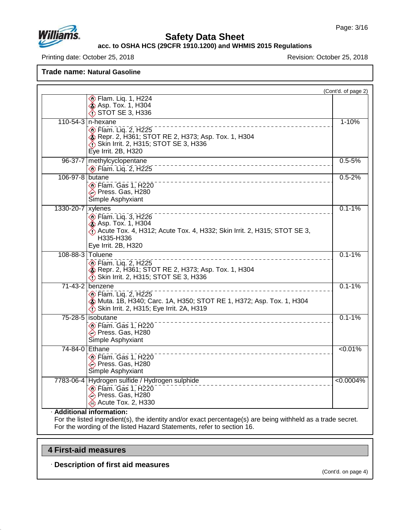

#### **acc. to OSHA HCS (29CFR 1910.1200) and WHMIS 2015 Regulations**

Printing date: October 25, 2018 **Printing date: October 25, 2018** 

**Trade name: Natural Gasoline**

|                   |                                                                                                                                                                             | (Cont'd. of page 2) |
|-------------------|-----------------------------------------------------------------------------------------------------------------------------------------------------------------------------|---------------------|
|                   | $\diamondsuit$ Flam. Liq. 1, H224<br><b>Asp. Tox. 1, H304</b><br>STOT SE 3, H336                                                                                            |                     |
|                   | 110-54-3 n-hexane<br><b>Elam.</b> Lig. 2, H225<br>Repr. 2, H361; STOT RE 2, H373; Asp. Tox. 1, H304<br>Skin Irrit. 2, H315; STOT SE 3, H336<br>Eye Irrit. 2B, H320          | $1 - 10%$           |
| 96-37-7           | methylcyclopentane<br>$\circ$ Flam. Liq. 2, H225                                                                                                                            | $0.5 - 5%$          |
| 106-97-8 butane   | $\circledcirc$ Flam. Gas 1, H220<br>→ Press. Gas, H280<br>Simple Asphyxiant                                                                                                 | $0.5 - 2%$          |
| 1330-20-7 xylenes | $\circ$ Flam. Liq. 3, H226<br><b>&amp; Asp. Tox. 1, H304</b><br>Acute Tox. 4, H312; Acute Tox. 4, H332; Skin Irrit. 2, H315; STOT SE 3,<br>H335-H336<br>Eye Irrit. 2B, H320 | $0.1 - 1%$          |
|                   | 108-88-3 Toluene<br>$\circ$ Flam. Liq. 2, H225<br><b>&amp;</b> Repr. 2, H361; STOT RE 2, H373; Asp. Tox. 1, H304<br>Skin Irrit. 2, H315; STOT SE 3, H336                    | $0.1 - 1%$          |
|                   | 71-43-2 benzene<br><b>Elam.</b> Lig. 2, H225<br>Muta. 1B, H340; Carc. 1A, H350; STOT RE 1, H372; Asp. Tox. 1, H304<br>Skin Irrit. 2, H315; Eye Irrit. 2A, H319              | $0.1 - 1%$          |
|                   | 75-28-5 isobutane<br>Elam. Gas 1, H220<br>Press. Gas, H280<br>Simple Asphyxiant                                                                                             | $0.1 - 1%$          |
|                   | 74-84-0 Ethane<br>Elam. Gas 1, H220<br>→ Press. Gas, H280<br>Simple Asphyxiant                                                                                              | $< 0.01\%$          |
|                   | 7783-06-4 Hydrogen sulfide / Hydrogen sulphide<br>$\circledcirc$ Flam. Gas 1, H220<br>Press. Gas, H280<br>Acute Tox. 2, H330                                                | $< 0.0004\%$        |

For the listed ingredient(s), the identity and/or exact percentage(s) are being withheld as a trade secret. For the wording of the listed Hazard Statements, refer to section 16.

### **4 First-aid measures**

48.0

· **Description of first aid measures**

(Cont'd. on page 4)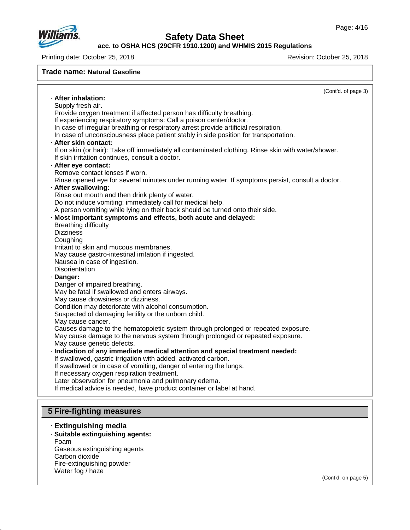

**acc. to OSHA HCS (29CFR 1910.1200) and WHMIS 2015 Regulations**

Printing date: October 25, 2018 Revision: October 25, 2018

#### **Trade name: Natural Gasoline**

(Cont'd. of page 3) · **After inhalation:** Supply fresh air. Provide oxygen treatment if affected person has difficulty breathing. If experiencing respiratory symptoms: Call a poison center/doctor. In case of irregular breathing or respiratory arrest provide artificial respiration. In case of unconsciousness place patient stably in side position for transportation. · **After skin contact:** If on skin (or hair): Take off immediately all contaminated clothing. Rinse skin with water/shower. If skin irritation continues, consult a doctor. · **After eye contact:** Remove contact lenses if worn. Rinse opened eye for several minutes under running water. If symptoms persist, consult a doctor. · **After swallowing:** Rinse out mouth and then drink plenty of water. Do not induce vomiting; immediately call for medical help. A person vomiting while lying on their back should be turned onto their side. · **Most important symptoms and effects, both acute and delayed:** Breathing difficulty **Dizziness Coughing** Irritant to skin and mucous membranes. May cause gastro-intestinal irritation if ingested. Nausea in case of ingestion. **Disorientation** · **Danger:** Danger of impaired breathing. May be fatal if swallowed and enters airways. May cause drowsiness or dizziness. Condition may deteriorate with alcohol consumption. Suspected of damaging fertility or the unborn child. May cause cancer. Causes damage to the hematopoietic system through prolonged or repeated exposure. May cause damage to the nervous system through prolonged or repeated exposure. May cause genetic defects. · **Indication of any immediate medical attention and special treatment needed:** If swallowed, gastric irrigation with added, activated carbon. If swallowed or in case of vomiting, danger of entering the lungs. If necessary oxygen respiration treatment. Later observation for pneumonia and pulmonary edema. If medical advice is needed, have product container or label at hand. **5 Fire-fighting measures**

### · **Extinguishing media**

· **Suitable extinguishing agents:** Foam Gaseous extinguishing agents Carbon dioxide

Fire-extinguishing powder Water fog / haze

48.0

(Cont'd. on page 5)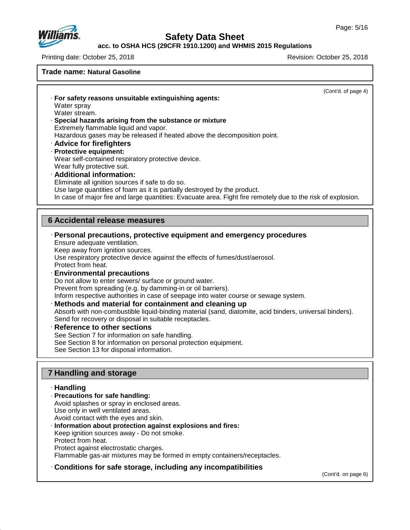

**acc. to OSHA HCS (29CFR 1910.1200) and WHMIS 2015 Regulations**

Printing date: October 25, 2018 Revision: October 25, 2018

**Trade name: Natural Gasoline**

(Cont'd. of page 4)

· **For safety reasons unsuitable extinguishing agents:** Water spray Water stream. · **Special hazards arising from the substance or mixture** Extremely flammable liquid and vapor.

Hazardous gases may be released if heated above the decomposition point.

- · **Advice for firefighters**
- · **Protective equipment:**

Wear self-contained respiratory protective device. Wear fully protective suit.

· **Additional information:**

Eliminate all ignition sources if safe to do so.

Use large quantities of foam as it is partially destroyed by the product.

In case of major fire and large quantities: Evacuate area. Fight fire remotely due to the risk of explosion.

### **6 Accidental release measures**

### · **Personal precautions, protective equipment and emergency procedures**

Ensure adequate ventilation.

Keep away from ignition sources.

Use respiratory protective device against the effects of fumes/dust/aerosol.

Protect from heat.

### · **Environmental precautions**

Do not allow to enter sewers/ surface or ground water. Prevent from spreading (e.g. by damming-in or oil barriers). Inform respective authorities in case of seepage into water course or sewage system.

#### · **Methods and material for containment and cleaning up**

Absorb with non-combustible liquid-binding material (sand, diatomite, acid binders, universal binders). Send for recovery or disposal in suitable receptacles.

#### · **Reference to other sections**

See Section 7 for information on safe handling.

See Section 8 for information on personal protection equipment.

See Section 13 for disposal information.

### **7 Handling and storage**

#### · **Handling**

48.0

- · **Precautions for safe handling:** Avoid splashes or spray in enclosed areas. Use only in well ventilated areas. Avoid contact with the eyes and skin.
- · **Information about protection against explosions and fires:** Keep ignition sources away - Do not smoke.
- Protect from heat.
- Protect against electrostatic charges.

Flammable gas-air mixtures may be formed in empty containers/receptacles.

### · **Conditions for safe storage, including any incompatibilities**

(Cont'd. on page 6)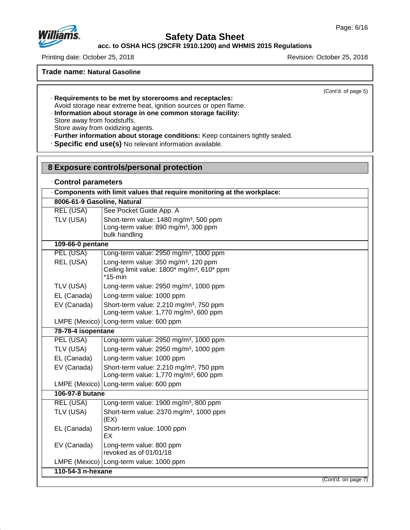

# **Safety Data Sheet**

**acc. to OSHA HCS (29CFR 1910.1200) and WHMIS 2015 Regulations**

Printing date: October 25, 2018 **Printing date: October 25, 2018** 

**Trade name: Natural Gasoline**

(Cont'd. of page 5)

· **Requirements to be met by storerooms and receptacles:** Avoid storage near extreme heat, ignition sources or open flame. · **Information about storage in one common storage facility:**

Store away from foodstuffs.

Store away from oxidizing agents.

· **Further information about storage conditions:** Keep containers tightly sealed.

· **Specific end use(s)** No relevant information available.

| 8 Exposure controls/personal protection |                                                                                                                                                   |  |
|-----------------------------------------|---------------------------------------------------------------------------------------------------------------------------------------------------|--|
| Control parameters                      |                                                                                                                                                   |  |
|                                         | Components with limit values that require monitoring at the workplace:                                                                            |  |
| 8006-61-9 Gasoline, Natural             |                                                                                                                                                   |  |
| <b>REL (USA)</b>                        | See Pocket Guide App. A                                                                                                                           |  |
| TLV (USA)                               | Short-term value: 1480 mg/m <sup>3</sup> , 500 ppm<br>Long-term value: 890 mg/m <sup>3</sup> , 300 ppm<br>bulk handling                           |  |
| 109-66-0 pentane                        |                                                                                                                                                   |  |
| PEL (USA)                               | Long-term value: 2950 mg/m <sup>3</sup> , 1000 ppm                                                                                                |  |
| REL (USA)                               | Long-term value: 350 mg/m <sup>3</sup> , 120 ppm<br>Ceiling limit value: 1800 <sup>*</sup> mg/m <sup>3</sup> , 610 <sup>*</sup> ppm<br>$*15$ -min |  |
| TLV (USA)                               | Long-term value: 2950 mg/m <sup>3</sup> , 1000 ppm                                                                                                |  |
| EL (Canada)                             | Long-term value: 1000 ppm                                                                                                                         |  |
| EV (Canada)                             | Short-term value: 2,210 mg/m <sup>3</sup> , 750 ppm<br>Long-term value: 1,770 mg/m <sup>3</sup> , 600 ppm                                         |  |
|                                         | LMPE (Mexico)   Long-term value: 600 ppm                                                                                                          |  |
| 78-78-4 isopentane                      |                                                                                                                                                   |  |
| PEL (USA)                               | Long-term value: 2950 mg/m <sup>3</sup> , 1000 ppm                                                                                                |  |
| TLV (USA)                               | Long-term value: 2950 mg/m <sup>3</sup> , 1000 ppm                                                                                                |  |
| EL (Canada)                             | Long-term value: 1000 ppm                                                                                                                         |  |
| EV (Canada)                             | Short-term value: 2,210 mg/m <sup>3</sup> , 750 ppm<br>Long-term value: 1,770 mg/m <sup>3</sup> , 600 ppm                                         |  |
|                                         | LMPE (Mexico) Long-term value: 600 ppm                                                                                                            |  |
| 106-97-8 butane                         |                                                                                                                                                   |  |
| REL (USA)                               | Long-term value: 1900 mg/m <sup>3</sup> , 800 ppm                                                                                                 |  |
| TLV (USA)                               | Short-term value: 2370 mg/m <sup>3</sup> , 1000 ppm<br>(EX)                                                                                       |  |
| EL (Canada)                             | Short-term value: 1000 ppm<br>EХ                                                                                                                  |  |
| EV (Canada)                             | Long-term value: 800 ppm<br>revoked as of 01/01/18                                                                                                |  |
|                                         | LMPE (Mexico) Long-term value: 1000 ppm                                                                                                           |  |
| 110-54-3 n-hexane                       |                                                                                                                                                   |  |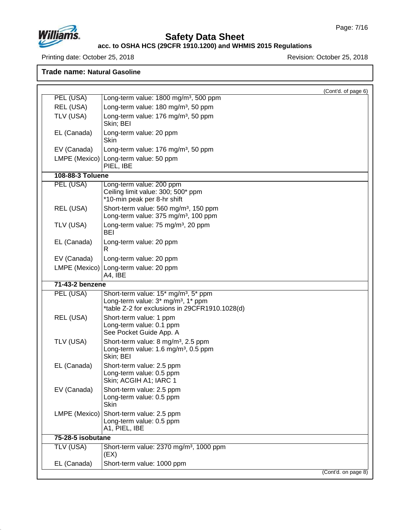

# **Safety Data Sheet**

#### **acc. to OSHA HCS (29CFR 1910.1200) and WHMIS 2015 Regulations**

Printing date: October 25, 2018 **Printing date: October 25, 2018** 

|                   |                                                                                                                                                      | (Cont'd. of page 6) |
|-------------------|------------------------------------------------------------------------------------------------------------------------------------------------------|---------------------|
| PEL (USA)         | Long-term value: 1800 mg/m <sup>3</sup> , 500 ppm                                                                                                    |                     |
| REL (USA)         | Long-term value: 180 mg/m <sup>3</sup> , 50 ppm                                                                                                      |                     |
| TLV (USA)         | Long-term value: 176 mg/m <sup>3</sup> , 50 ppm<br>Skin; BEI                                                                                         |                     |
| EL (Canada)       | Long-term value: 20 ppm<br><b>Skin</b>                                                                                                               |                     |
| EV (Canada)       | Long-term value: 176 mg/m <sup>3</sup> , 50 ppm                                                                                                      |                     |
|                   | LMPE (Mexico) Long-term value: 50 ppm<br>PIEL, IBE                                                                                                   |                     |
| 108-88-3 Toluene  |                                                                                                                                                      |                     |
| PEL (USA)         | Long-term value: 200 ppm<br>Ceiling limit value: 300; 500* ppm<br>*10-min peak per 8-hr shift                                                        |                     |
| REL (USA)         | Short-term value: 560 mg/m <sup>3</sup> , 150 ppm<br>Long-term value: 375 mg/m <sup>3</sup> , 100 ppm                                                |                     |
| TLV (USA)         | Long-term value: 75 mg/m <sup>3</sup> , 20 ppm<br><b>BEI</b>                                                                                         |                     |
| EL (Canada)       | Long-term value: 20 ppm<br>R                                                                                                                         |                     |
| EV (Canada)       | Long-term value: 20 ppm                                                                                                                              |                     |
|                   | LMPE (Mexico) Long-term value: 20 ppm<br>A4, IBE                                                                                                     |                     |
| 71-43-2 benzene   |                                                                                                                                                      |                     |
| PEL (USA)         | Short-term value: 15* mg/m <sup>3</sup> , 5* ppm<br>Long-term value: 3* mg/m <sup>3</sup> , 1* ppm<br>*table Z-2 for exclusions in 29CFR1910.1028(d) |                     |
| REL (USA)         | Short-term value: 1 ppm<br>Long-term value: 0.1 ppm<br>See Pocket Guide App. A                                                                       |                     |
| TLV (USA)         | Short-term value: 8 mg/m <sup>3</sup> , 2.5 ppm<br>Long-term value: 1.6 mg/m <sup>3</sup> , 0.5 ppm<br>Skin; BEI                                     |                     |
| EL (Canada)       | Short-term value: 2.5 ppm<br>Long-term value: 0.5 ppm<br>Skin; ACGIH A1; IARC 1                                                                      |                     |
| EV (Canada)       | Short-term value: 2.5 ppm<br>Long-term value: 0.5 ppm<br><b>Skin</b>                                                                                 |                     |
| LMPE (Mexico)     | Short-term value: 2.5 ppm<br>Long-term value: 0.5 ppm<br>A1, PIEL, IBE                                                                               |                     |
| 75-28-5 isobutane |                                                                                                                                                      |                     |
| <b>TLV (USA)</b>  | Short-term value: 2370 mg/m <sup>3</sup> , 1000 ppm<br>(EX)                                                                                          |                     |
| EL (Canada)       | Short-term value: 1000 ppm                                                                                                                           |                     |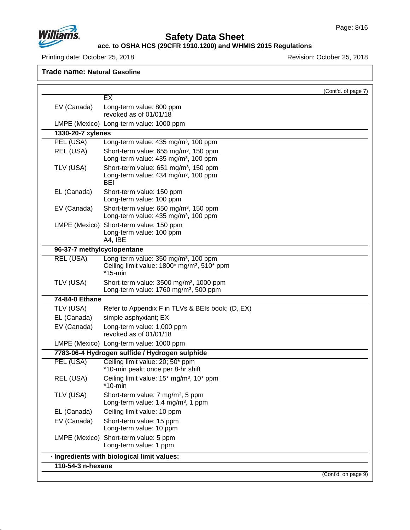

# **Safety Data Sheet**

#### **acc. to OSHA HCS (29CFR 1910.1200) and WHMIS 2015 Regulations**

Printing date: October 25, 2018 **Printing date: October 25, 2018** 

|                            | EX                                                                                                                        | (Cont'd. of page 7) |
|----------------------------|---------------------------------------------------------------------------------------------------------------------------|---------------------|
|                            |                                                                                                                           |                     |
| EV (Canada)                | Long-term value: 800 ppm<br>revoked as of 01/01/18                                                                        |                     |
|                            | LMPE (Mexico)   Long-term value: 1000 ppm                                                                                 |                     |
| 1330-20-7 xylenes          |                                                                                                                           |                     |
| PEL (USA)                  | Long-term value: 435 mg/m <sup>3</sup> , 100 ppm                                                                          |                     |
| REL (USA)                  | Short-term value: 655 mg/m <sup>3</sup> , 150 ppm<br>Long-term value: 435 mg/m <sup>3</sup> , 100 ppm                     |                     |
| TLV (USA)                  | Short-term value: 651 mg/m <sup>3</sup> , 150 ppm<br>Long-term value: 434 mg/m <sup>3</sup> , 100 ppm<br><b>BEI</b>       |                     |
| EL (Canada)                | Short-term value: 150 ppm<br>Long-term value: 100 ppm                                                                     |                     |
| EV (Canada)                | Short-term value: 650 mg/m <sup>3</sup> , 150 ppm<br>Long-term value: 435 mg/m <sup>3</sup> , 100 ppm                     |                     |
| LMPE (Mexico)              | Short-term value: 150 ppm<br>Long-term value: 100 ppm<br>A4, IBE                                                          |                     |
| 96-37-7 methylcyclopentane |                                                                                                                           |                     |
| <b>REL (USA)</b>           | Long-term value: 350 mg/m <sup>3</sup> , 100 ppm<br>Ceiling limit value: 1800* mg/m <sup>3</sup> , 510* ppm<br>$*15$ -min |                     |
| TLV (USA)                  | Short-term value: 3500 mg/m <sup>3</sup> , 1000 ppm<br>Long-term value: 1760 mg/m <sup>3</sup> , 500 ppm                  |                     |
| 74-84-0 Ethane             |                                                                                                                           |                     |
| TLV (USA)                  | Refer to Appendix F in TLVs & BEIs book; (D, EX)                                                                          |                     |
| EL (Canada)                | simple asphyxiant; EX                                                                                                     |                     |
| EV (Canada)                | Long-term value: 1,000 ppm<br>revoked as of 01/01/18                                                                      |                     |
|                            | LMPE (Mexico)   Long-term value: 1000 ppm                                                                                 |                     |
|                            | 7783-06-4 Hydrogen sulfide / Hydrogen sulphide                                                                            |                     |
| PEL (USA)                  | Ceiling limit value: 20; 50* ppm<br>*10-min peak; once per 8-hr shift                                                     |                     |
| REL (USA)                  | Ceiling limit value: 15* mg/m <sup>3</sup> , 10* ppm<br>*10-min                                                           |                     |
| TLV (USA)                  | Short-term value: 7 mg/m <sup>3</sup> , 5 ppm<br>Long-term value: 1.4 mg/m <sup>3</sup> , 1 ppm                           |                     |
| EL (Canada)                | Ceiling limit value: 10 ppm                                                                                               |                     |
| EV (Canada)                | Short-term value: 15 ppm<br>Long-term value: 10 ppm                                                                       |                     |
| LMPE (Mexico)              | Short-term value: 5 ppm<br>Long-term value: 1 ppm                                                                         |                     |
|                            | · Ingredients with biological limit values:                                                                               |                     |
| 110-54-3 n-hexane          |                                                                                                                           |                     |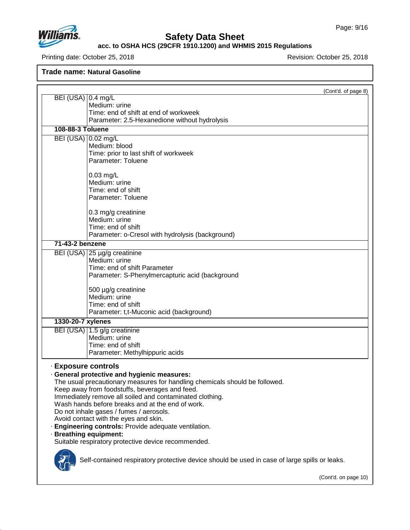

# **Safety Data Sheet**

### **acc. to OSHA HCS (29CFR 1910.1200) and WHMIS 2015 Regulations**

Printing date: October 25, 2018 **Printing date: October 25, 2018** 

|                                                                                               | (Cont'd. of page 8)  |
|-----------------------------------------------------------------------------------------------|----------------------|
| BEI (USA) 0.4 mg/L<br>Medium: urine                                                           |                      |
| Time: end of shift at end of workweek                                                         |                      |
| Parameter: 2.5-Hexanedione without hydrolysis                                                 |                      |
| 108-88-3 Toluene                                                                              |                      |
| BEI (USA) 0.02 mg/L                                                                           |                      |
| Medium: blood                                                                                 |                      |
| Time: prior to last shift of workweek                                                         |                      |
| Parameter: Toluene                                                                            |                      |
| $0.03$ mg/L                                                                                   |                      |
| Medium: urine                                                                                 |                      |
| Time: end of shift                                                                            |                      |
| Parameter: Toluene                                                                            |                      |
| 0.3 mg/g creatinine                                                                           |                      |
| Medium: urine                                                                                 |                      |
| Time: end of shift                                                                            |                      |
| Parameter: o-Cresol with hydrolysis (background)                                              |                      |
| 71-43-2 benzene                                                                               |                      |
| BEI (USA) 25 µg/g creatinine                                                                  |                      |
| Medium: urine                                                                                 |                      |
| Time: end of shift Parameter<br>Parameter: S-Phenylmercapturic acid (background               |                      |
|                                                                                               |                      |
| 500 µg/g creatinine                                                                           |                      |
| Medium: urine                                                                                 |                      |
| Time: end of shift<br>Parameter: t,t-Muconic acid (background)                                |                      |
| 1330-20-7 xylenes                                                                             |                      |
| BEI (USA) 1.5 g/g creatinine                                                                  |                      |
| Medium: urine                                                                                 |                      |
| Time: end of shift                                                                            |                      |
| Parameter: Methylhippuric acids                                                               |                      |
| <b>Exposure controls</b>                                                                      |                      |
| · General protective and hygienic measures:                                                   |                      |
| The usual precautionary measures for handling chemicals should be followed.                   |                      |
| Keep away from foodstuffs, beverages and feed.                                                |                      |
| Immediately remove all soiled and contaminated clothing.                                      |                      |
| Wash hands before breaks and at the end of work.<br>Do not inhale gases / fumes / aerosols.   |                      |
| Avoid contact with the eyes and skin.                                                         |                      |
| · Engineering controls: Provide adequate ventilation.                                         |                      |
| · Breathing equipment:                                                                        |                      |
| Suitable respiratory protective device recommended.                                           |                      |
|                                                                                               |                      |
| Self-contained respiratory protective device should be used in case of large spills or leaks. |                      |
|                                                                                               |                      |
|                                                                                               | (Cont'd. on page 10) |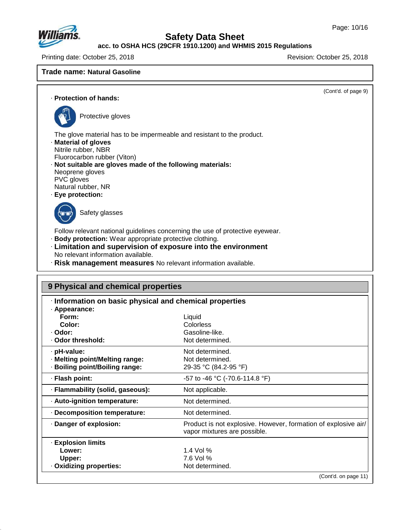

**acc. to OSHA HCS (29CFR 1910.1200) and WHMIS 2015 Regulations**

Printing date: October 25, 2018 **Printing date: October 25, 2018** Revision: October 25, 2018

### **Trade name: Natural Gasoline**

(Cont'd. of page 9)

· **Protection of hands:**



Protective gloves

The glove material has to be impermeable and resistant to the product.

- · **Material of gloves**
- Nitrile rubber, NBR
- Fluorocarbon rubber (Viton)
- · **Not suitable are gloves made of the following materials:** Neoprene gloves PVC gloves
- Natural rubber, NR
- · **Eye protection:**



48.0

Safety glasses

Follow relevant national guidelines concerning the use of protective eyewear.

- · **Body protection:** Wear appropriate protective clothing.
- · **Limitation and supervision of exposure into the environment** No relevant information available.
- · **Risk management measures** No relevant information available.

| 9 Physical and chemical properties                    |                                                                                                |
|-------------------------------------------------------|------------------------------------------------------------------------------------------------|
| Information on basic physical and chemical properties |                                                                                                |
| · Appearance:                                         |                                                                                                |
| Form:                                                 | Liquid                                                                                         |
| Color:                                                | Colorless                                                                                      |
| · Odor:                                               | Gasoline-like.                                                                                 |
| · Odor threshold:                                     | Not determined.                                                                                |
| · pH-value:                                           | Not determined.                                                                                |
| · Melting point/Melting range:                        | Not determined.                                                                                |
| · Boiling point/Boiling range:                        | 29-35 °C (84.2-95 °F)                                                                          |
| · Flash point:                                        | -57 to -46 °C (-70.6-114.8 °F)                                                                 |
| · Flammability (solid, gaseous):                      | Not applicable.                                                                                |
| · Auto-ignition temperature:                          | Not determined.                                                                                |
| Decomposition temperature:                            | Not determined.                                                                                |
| · Danger of explosion:                                | Product is not explosive. However, formation of explosive air/<br>vapor mixtures are possible. |
| <b>Explosion limits</b>                               |                                                                                                |
| Lower:                                                | 1.4 Vol $%$                                                                                    |
| Upper:                                                | 7.6 Vol %                                                                                      |
| · Oxidizing properties:                               | Not determined.                                                                                |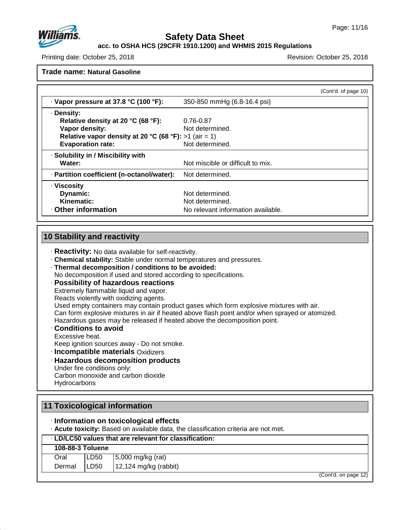

### **acc. to OSHA HCS (29CFR 1910.1200) and WHMIS 2015 Regulations**

Printing date: October 25, 2018 Revision: October 25, 2018

**Trade name: Natural Gasoline**

|                                                       |                                    | (Cont'd. of page 10) |
|-------------------------------------------------------|------------------------------------|----------------------|
| $\cdot$ Vapor pressure at 37.8 °C (100 °F):           | 350-850 mmHg (6.8-16.4 psi)        |                      |
| · Density:                                            |                                    |                      |
| Relative density at 20 °C (68 °F):                    | 0.76-0.87                          |                      |
| Vapor density:                                        | Not determined.                    |                      |
| Relative vapor density at 20 °C (68 °F): >1 (air = 1) |                                    |                      |
| <b>Evaporation rate:</b>                              | Not determined.                    |                      |
| · Solubility in / Miscibility with                    |                                    |                      |
| Water:                                                | Not miscible or difficult to mix.  |                      |
| · Partition coefficient (n-octanol/water):            | Not determined.                    |                      |
| · Viscosity                                           |                                    |                      |
| Dynamic:                                              | Not determined.                    |                      |
| Kinematic:                                            | Not determined.                    |                      |
| Other information                                     | No relevant information available. |                      |

# **10 Stability and reactivity**

- · **Reactivity:** No data available for self-reactivity.
- · **Chemical stability:** Stable under normal temperatures and pressures.
- · **Thermal decomposition / conditions to be avoided:**
- No decomposition if used and stored according to specifications.

### · **Possibility of hazardous reactions**

Extremely flammable liquid and vapor.

Reacts violently with oxidizing agents.

Used empty containers may contain product gases which form explosive mixtures with air.

Can form explosive mixtures in air if heated above flash point and/or when sprayed or atomized.

Hazardous gases may be released if heated above the decomposition point.

· **Conditions to avoid**

Excessive heat.

48.0

Keep ignition sources away - Do not smoke.

· **Incompatible materials** Oxidizers

# · **Hazardous decomposition products** Under fire conditions only:

Carbon monoxide and carbon dioxide **Hydrocarbons** 

|        |                  | 11 Toxicological information                                                                                                  |                      |
|--------|------------------|-------------------------------------------------------------------------------------------------------------------------------|----------------------|
|        |                  | · Information on toxicological effects<br>. Acute toxicity: Based on available data, the classification criteria are not met. |                      |
|        |                  | . LD/LC50 values that are relevant for classification:                                                                        |                      |
|        | 108-88-3 Toluene |                                                                                                                               |                      |
| Oral   | LD50             | 5,000 mg/kg (rat)                                                                                                             |                      |
| Dermal | LD50             | 12,124 mg/kg (rabbit)                                                                                                         |                      |
|        |                  |                                                                                                                               | (Cont'd. on page 12) |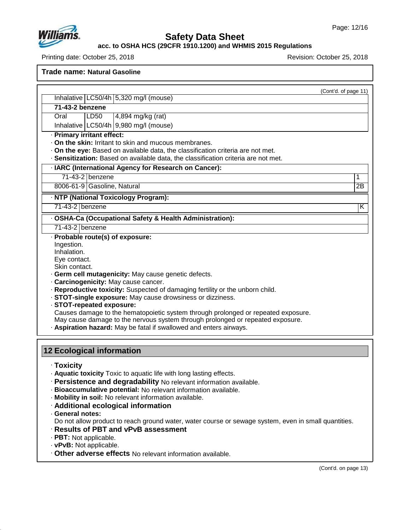

**acc. to OSHA HCS (29CFR 1910.1200) and WHMIS 2015 Regulations**

Printing date: October 25, 2018 Revision: October 25, 2018

**Trade name: Natural Gasoline**

(Cont'd. of page 11)

**71-43-2 benzene**

Oral LD50 4,894 mg/kg (rat)

Inhalative  $|LC50/4h|9,980$  mg/l (mouse)

Inhalative  $LC50/4h$  5,320 mg/l (mouse)

· **Primary irritant effect:**

· **On the skin:** Irritant to skin and mucous membranes.

· **On the eye:** Based on available data, the classification criteria are not met.

· **Sensitization:** Based on available data, the classification criteria are not met.

· **IARC (International Agency for Research on Cancer):**

71-43-2 benzene 1

8006-61-9 Gasoline, Natural 2B

· **NTP (National Toxicology Program):**

71-43-2 benzene K

· **OSHA-Ca (Occupational Safety & Health Administration):**

71-43-2 benzene

· **Probable route(s) of exposure:**

Ingestion.

Inhalation.

Eye contact.

Skin contact.

· **Germ cell mutagenicity:** May cause genetic defects.

· **Carcinogenicity:** May cause cancer.

· **Reproductive toxicity:** Suspected of damaging fertility or the unborn child.

· **STOT-single exposure:** May cause drowsiness ordizziness.

· **STOT-repeated exposure:**

Causes damage to the hematopoietic system through prolonged or repeated exposure.

May cause damage to the nervous system through prolonged or repeated exposure.

· **Aspiration hazard:** May be fatal if swallowed and enters airways.

### **12 Ecological information**

- · **Toxicity**
- · **Aquatic toxicity** Toxic to aquatic life with long lasting effects.
- · **Persistence and degradability** No relevant information available.
- · **Bioaccumulative potential:** No relevant information available.
- · **Mobility in soil:** No relevant information available.
- · **Additional ecological information**
- · **General notes:**

48.0

Do not allow product to reach ground water, water course or sewage system, even in small quantities.

- · **Results of PBT and vPvB assessment**
- · **PBT:** Not applicable.
- · **vPvB:** Not applicable.
- · **Other adverse effects** No relevant information available.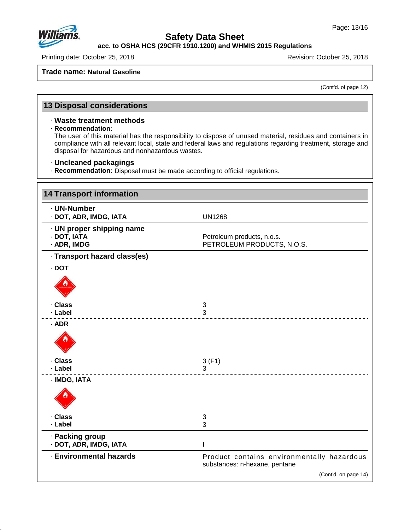

# **Safety Data Sheet**

**acc. to OSHA HCS (29CFR 1910.1200) and WHMIS 2015 Regulations**

Printing date: October 25, 2018 **Printing date: October 25, 2018** 

#### **Trade name: Natural Gasoline**

(Cont'd. of page 12)

# **13 Disposal considerations**

### · **Waste treatment methods**

### · **Recommendation:**

The user of this material has the responsibility to dispose of unused material, residues and containers in compliance with all relevant local, state and federal laws and regulations regarding treatment, storage and disposal for hazardous and nonhazardous wastes.

#### · **Uncleaned packagings**

· **Recommendation:** Disposal must be made according to official regulations.

| <b>14 Transport information</b>                         |                                                                             |
|---------------------------------------------------------|-----------------------------------------------------------------------------|
| · UN-Number<br>· DOT, ADR, IMDG, IATA                   | <b>UN1268</b>                                                               |
| · UN proper shipping name<br>· DOT, IATA<br>· ADR, IMDG | Petroleum products, n.o.s.<br>PETROLEUM PRODUCTS, N.O.S.                    |
| · Transport hazard class(es)                            |                                                                             |
| $\cdot$ DOT                                             |                                                                             |
|                                                         |                                                                             |
| · Class<br>· Label                                      | 3<br>3                                                                      |
| $·$ ADR                                                 |                                                                             |
|                                                         |                                                                             |
| · Class                                                 | 3(F1)                                                                       |
| · Label                                                 | 3                                                                           |
| · IMDG, IATA                                            |                                                                             |
| · Class                                                 | $\ensuremath{\mathsf{3}}$                                                   |
| · Label                                                 | 3                                                                           |
| · Packing group<br>· DOT, ADR, IMDG, IATA               |                                                                             |
| · Environmental hazards                                 | Product contains environmentally hazardous<br>substances: n-hexane, pentane |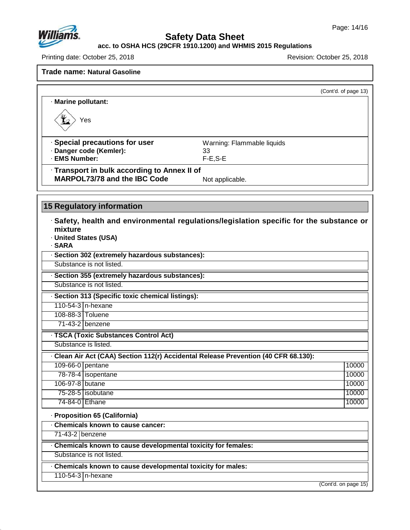

# **Safety Data Sheet**

#### **acc. to OSHA HCS (29CFR 1910.1200) and WHMIS 2015 Regulations**

Printing date: October 25, 2018 **Printing date: October 25, 2018** 

|                                                                                     | (Cont'd. of page 13)                                                                           |
|-------------------------------------------------------------------------------------|------------------------------------------------------------------------------------------------|
| · Marine pollutant:                                                                 |                                                                                                |
| Yes                                                                                 |                                                                                                |
| · Special precautions for user<br>· Danger code (Kemler):<br>· EMS Number:          | Warning: Flammable liquids<br>33<br>$F-E, S-E$                                                 |
| · Transport in bulk according to Annex II of<br><b>MARPOL73/78 and the IBC Code</b> | Not applicable.                                                                                |
| 15 Regulatory information                                                           |                                                                                                |
| mixture<br>· United States (USA)<br>· SARA                                          | $\cdot$ Safety, health and environmental regulations/legislation specific for the substance or |
| · Section 302 (extremely hazardous substances):                                     |                                                                                                |
| Substance is not listed.                                                            |                                                                                                |
| · Section 355 (extremely hazardous substances):                                     |                                                                                                |
| Substance is not listed.                                                            |                                                                                                |
| · Section 313 (Specific toxic chemical listings):                                   |                                                                                                |
| 110-54-3 n-hexane                                                                   |                                                                                                |
| 108-88-3 Toluene                                                                    |                                                                                                |
|                                                                                     |                                                                                                |
| 71-43-2 benzene                                                                     |                                                                                                |
| · TSCA (Toxic Substances Control Act)                                               |                                                                                                |
| Substance is listed.                                                                |                                                                                                |
| - Clean Air Act (CAA) Section 112(r) Accidental Release Prevention (40 CFR 68.130): |                                                                                                |
| 109-66-0 pentane                                                                    | 10000                                                                                          |
| 78-78-4   isopentane                                                                | 10000                                                                                          |
| 106-97-8 butane                                                                     | 10000                                                                                          |
| 75-28-5   isobutane                                                                 | 10000                                                                                          |
| 74-84-0 Ethane                                                                      | 10000                                                                                          |
| · Proposition 65 (California)                                                       |                                                                                                |
| Chemicals known to cause cancer:                                                    |                                                                                                |
| 71-43-2 benzene                                                                     |                                                                                                |
| Chemicals known to cause developmental toxicity for females:                        |                                                                                                |
| Substance is not listed.                                                            |                                                                                                |
| Chemicals known to cause developmental toxicity for males:                          |                                                                                                |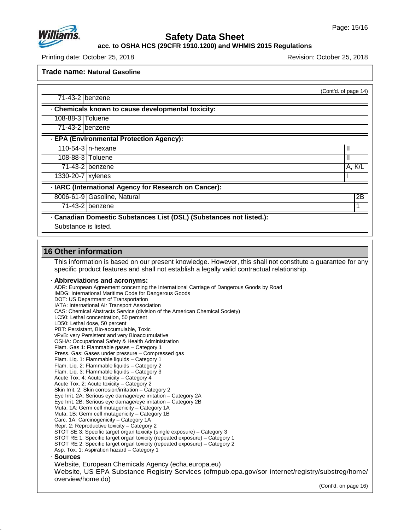

**acc. to OSHA HCS (29CFR 1910.1200) and WHMIS 2015 Regulations**

Printing date: October 25, 2018 Revision: October 25, 2018

**Trade name: Natural Gasoline**

|                     | . Chemicals known to cause developmental toxicity:    |        |
|---------------------|-------------------------------------------------------|--------|
| 108-88-3 Toluene    |                                                       |        |
| 71-43-2 benzene     |                                                       |        |
|                     | - EPA (Environmental Protection Agency):              |        |
|                     | 110-54-3   n-hexane                                   |        |
|                     | 108-88-3 Toluene                                      |        |
|                     | $71-43-2$ benzene                                     | A, K/L |
| 1330-20-7   xylenes |                                                       |        |
|                     | · IARC (International Agency for Research on Cancer): |        |
|                     | 8006-61-9 Gasoline, Natural                           | 2B     |

Substance is listed.

### **16 Other information**

48.0

This information is based on our present knowledge. However, this shall not constitute a guarantee for any specific product features and shall not establish a legally valid contractual relationship.

#### · **Abbreviations and acronyms:**

ADR: European Agreement concerning the International Carriage of Dangerous Goods by Road IMDG: International Maritime Code for Dangerous Goods DOT: US Department of Transportation IATA: International Air Transport Association CAS: Chemical Abstracts Service (division of the American Chemical Society) LC50: Lethal concentration, 50 percent LD50: Lethal dose, 50 percent PBT: Persistant, Bio-accumulable, Toxic vPvB: very Persistent and very Bioaccumulative OSHA: Occupational Safety & Health Administration Flam. Gas 1: Flammable gases – Category 1 Press. Gas: Gases under pressure – Compressed gas Flam. Liq. 1: Flammable liquids – Category 1 Flam. Liq. 2: Flammable liquids – Category 2 Flam. Liq. 3: Flammable liquids – Category 3 Acute Tox. 4: Acute toxicity – Category 4 Acute Tox. 2: Acute toxicity – Category 2 Skin Irrit. 2: Skin corrosion/irritation – Category 2 Eye Irrit.2A: Serious eye damage/eye irritation – Category 2A Eye Irrit.2B: Serious eye damage/eye irritation – Category 2B Muta. 1A: Germ cell mutagenicity – Category 1A Muta. 1B: Germ cell mutagenicity – Category 1B Carc. 1A: Carcinogenicity – Category 1A Repr. 2: Reproductive toxicity – Category 2 STOT SE 3: Specific target organ toxicity (single exposure) – Category 3 STOT RE 1: Specific target organ toxicity (repeated exposure) – Category 1 STOT RE 2: Specific target organ toxicity (repeated exposure) – Category 2 Asp. Tox. 1: Aspiration hazard – Category 1 · **Sources** Website, European Chemicals Agency (echa.europa.eu) Website, US EPA Substance Registry Services (ofmpub.epa.gov/sor internet/registry/substreg/home/ overview/home.do)

(Cont'd. on page 16)